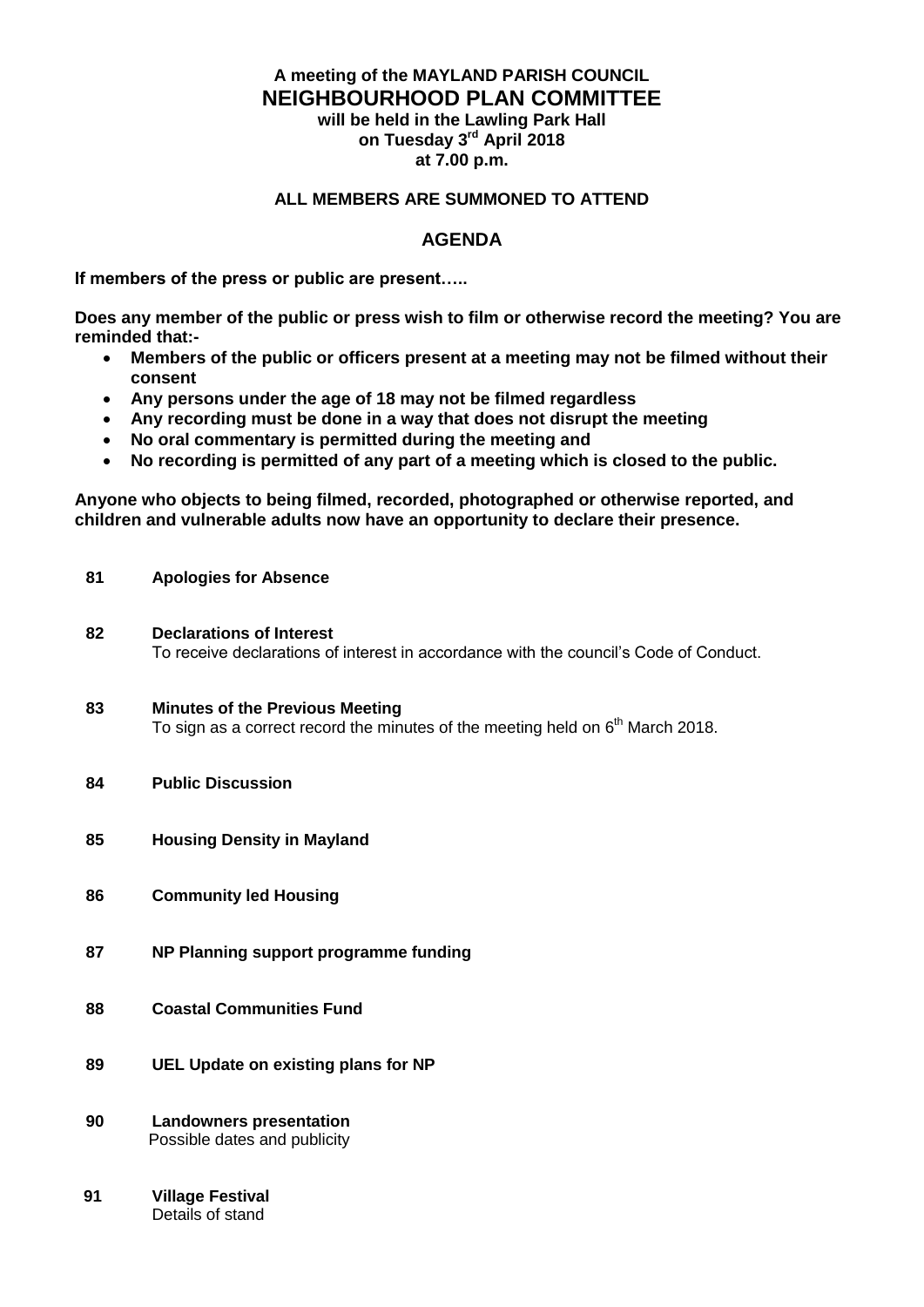## **A meeting of the MAYLAND PARISH COUNCIL NEIGHBOURHOOD PLAN COMMITTEE will be held in the Lawling Park Hall**

**on Tuesday 3 rd April 2018 at 7.00 p.m.**

## **ALL MEMBERS ARE SUMMONED TO ATTEND**

#### **AGENDA**

**If members of the press or public are present…..**

**Does any member of the public or press wish to film or otherwise record the meeting? You are reminded that:-**

- **Members of the public or officers present at a meeting may not be filmed without their consent**
- **Any persons under the age of 18 may not be filmed regardless**
- **Any recording must be done in a way that does not disrupt the meeting**
- **No oral commentary is permitted during the meeting and**<br>• No recording is permitted of any part of a meeting which
- **No recording is permitted of any part of a meeting which is closed to the public.**

**Anyone who objects to being filmed, recorded, photographed or otherwise reported, and children and vulnerable adults now have an opportunity to declare their presence.**

- **81 Apologies for Absence**
- **82 Declarations of Interest** To receive declarations of interest in accordance with the council's Code of Conduct.
- **83 Minutes of the Previous Meeting**  To sign as a correct record the minutes of the meeting held on  $6<sup>th</sup>$  March 2018.
- **84 Public Discussion**
- **85 Housing Density in Mayland**
- **86 Community led Housing**
- **87 NP Planning support programme funding**
- **88 Coastal Communities Fund**
- **89 UEL Update on existing plans for NP**
- **90 Landowners presentation**  Possible dates and publicity
- **91 Village Festival** Details of stand